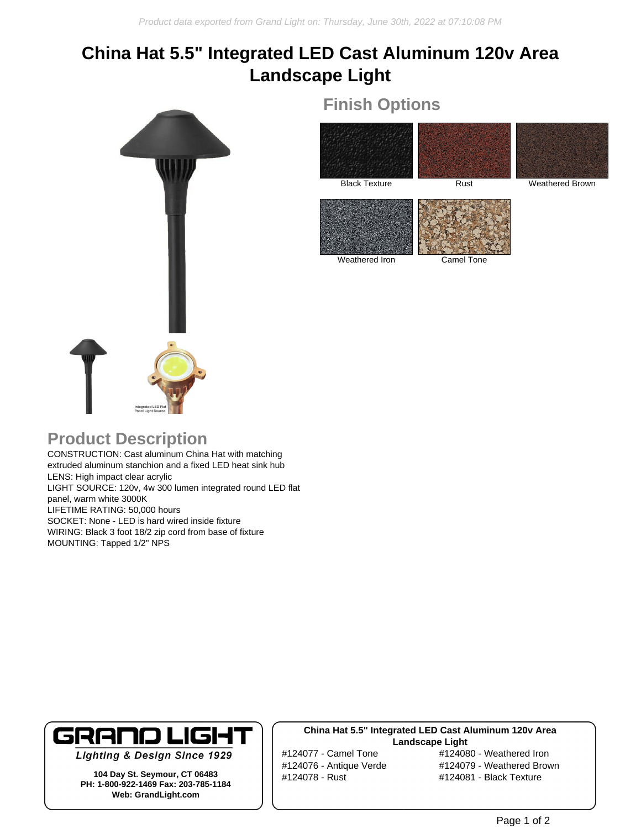# **China Hat 5.5" Integrated LED Cast Aluminum 120v Area Landscape Light**



## **Finish Options**



Weathered Iron Camel Tone

### **Product Description**

CONSTRUCTION: Cast aluminum China Hat with matching extruded aluminum stanchion and a fixed LED heat sink hub LENS: High impact clear acrylic LIGHT SOURCE: 120v, 4w 300 lumen integrated round LED flat panel, warm white 3000K LIFETIME RATING: 50,000 hours SOCKET: None - LED is hard wired inside fixture WIRING: Black 3 foot 18/2 zip cord from base of fixture MOUNTING: Tapped 1/2" NPS



**Lighting & Design Since 1929** 

**104 Day St. Seymour, CT 06483 PH: 1-800-922-1469 Fax: 203-785-1184 Web: GrandLight.com**

#### **China Hat 5.5" Integrated LED Cast Aluminum 120v Area Landscape Light**

#124077 - Camel Tone #124080 - Weathered Iron #124076 - Antique Verde #124079 - Weathered Brown #124078 - Rust #124081 - Black Texture